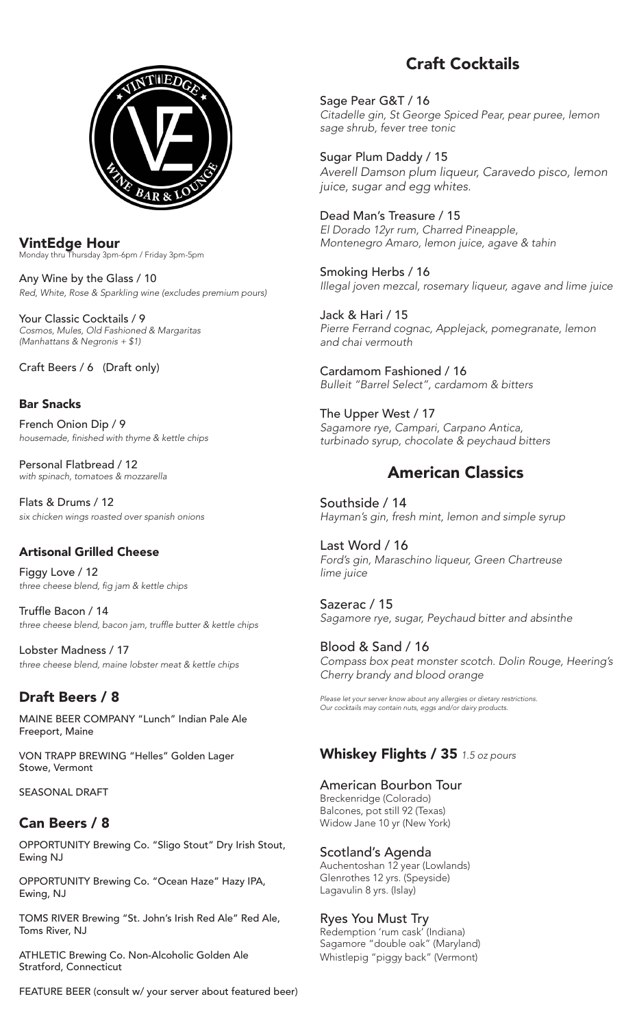

VintEdge Hour Monday thru Thursday 3pm-6pm / Friday 3pm-5pm

Any Wine by the Glass / 10 *Red, White, Rose & Sparkling wine (excludes premium pours)*

Your Classic Cocktails / 9 *Cosmos, Mules, Old Fashioned & Margaritas (Manhattans & Negronis + \$1)*

Craft Beers / 6 (Draft only)

## Bar Snacks

French Onion Dip / 9 housemade, finished with thyme & kettle chips

Personal Flatbread / 12 *with spinach, tomatoes & mozzarella*

Flats & Drums / 12 *six chicken wings roasted over spanish onions*

### Artisonal Grilled Cheese

Figgy Love / 12 three cheese blend, fig jam & kettle chips

Truffle Bacon / 14 three cheese blend, bacon jam, truffle butter & kettle chips

Lobster Madness / 17 *three cheese blend, maine lobster meat & kettle chips*

## Draft Beers / 8

MAINE BEER COMPANY "Lunch" Indian Pale Ale Freeport, Maine

VON TRAPP BREWING "Helles" Golden Lager Stowe, Vermont

SEASONAL DRAFT

# Can Beers / 8

OPPORTUNITY Brewing Co. "Sligo Stout" Dry Irish Stout, Ewing NJ

OPPORTUNITY Brewing Co. "Ocean Haze" Hazy IPA, Ewing, NJ

TOMS RIVER Brewing "St. John's Irish Red Ale" Red Ale, Toms River, NJ

ATHLETIC Brewing Co. Non-Alcoholic Golden Ale Stratford, Connecticut

FEATURE BEER (consult w/ your server about featured beer)

# Craft Cocktails

Sage Pear G&T / 16 *Citadelle gin, St George Spiced Pear, pear puree, lemon*  sage shrub, fever tree tonic

Sugar Plum Daddy / 15 *Averell Damson plum liqueur, Caravedo pisco, lemon*  juice, sugar and egg whites.

Dead Man's Treasure / 15 El Dorado 12yr rum, Charred Pineapple, Montenegro Amaro, lemon juice, agave & tahin

Smoking Herbs / 16 Illegal joven mezcal, rosemary liqueur, agave and lime juice

Jack & Hari / 15 Pierre Ferrand cognac, Applejack, pomegranate, lemon *and chai vermouth*

Cardamom Fashioned / 16 *Bulleit "Barrel Select", cardamom & bitters*

The Upper West / 17 Sagamore rye, Campari, Carpano Antica, turbinado syrup, chocolate & peychaud bitters

# American Classics

Southside / 14 Hayman's gin, fresh mint, lemon and simple syrup

Last Word / 16 Ford's gin, Maraschino liqueur, Green Chartreuse lime juice

Sazerac / 15 Sagamore rye, sugar, Peychaud bitter and absinthe

Blood & Sand / 16 Compass box peat monster scotch. Dolin Rouge, Heering's Cherry brandy and blood orange

Please let your server know about any allergies or dietary restrictions. Our cocktails may contain nuts, eggs and/or dairy products.

# Whiskey Flights / 35 1.5 oz pours

American Bourbon Tour Breckenridge (Colorado) Balcones, pot still 92 (Texas) Widow Jane 10 yr (New York)

Scotland's Agenda Auchentoshan 12 year (Lowlands) Glenrothes 12 yrs. (Speyside) Lagavulin 8 yrs. (Islay)

Ryes You Must Try Redemption 'rum cask' (Indiana) Sagamore "double oak" (Maryland) Whistlepig "piggy back" (Vermont)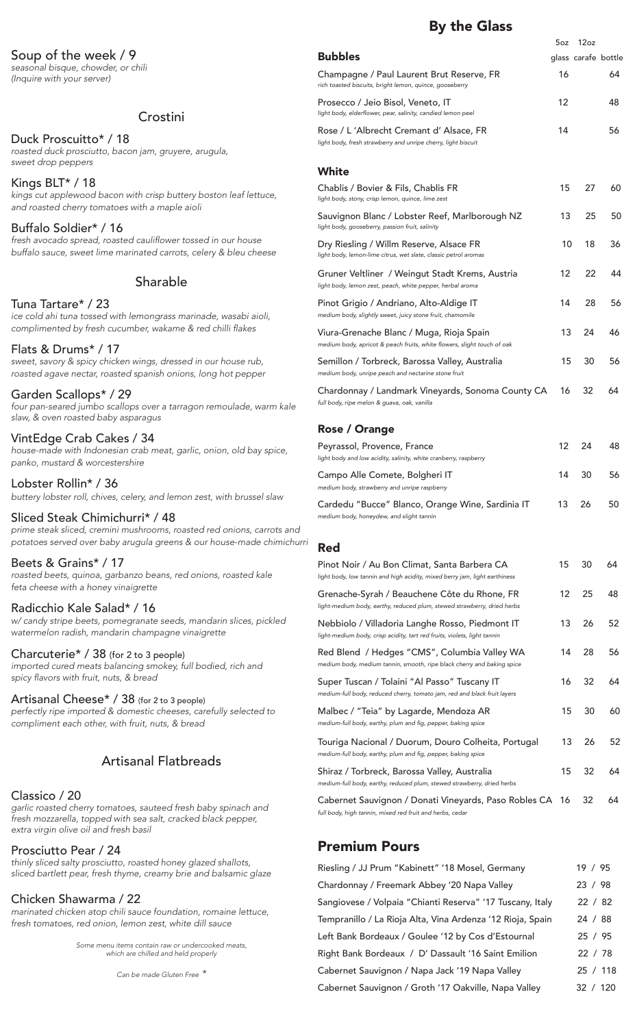### Soup of the week / 9

*seasonal bisque, chowder, or chili* (Inquire with your server)

### Crostini

### Duck Proscuitto\* / 18

roasted duck prosciutto, bacon jam, gruyere, arugula, *sweet drop peppers*

Kings BLT\* / 18 kings cut applewood bacon with crisp buttery boston leaf lettuce, and roasted cherry tomatoes with a maple aioli

Buffalo Soldier\* / 16 fresh avocado spread, roasted cauliflower tossed in our house buffalo sauce, sweet lime marinated carrots, celery & bleu cheese

### Sharable

#### Tuna Tartare\* / 23

*ice cold ahi tuna tossed with lemongrass marinade, wasabi aioli,*  complimented by fresh cucumber, wakame & red chilli flakes

### Flats & Drums\* / 17

sweet, savory & spicy chicken wings, dressed in our house rub, *roasted agave nectar, roasted spanish onions, long hot pepper*

### Garden Scallops\* / 29

four pan-seared jumbo scallops over a tarragon remoulade, warm kale slaw, & oven roasted baby asparagus

### VintEdge Crab Cakes / 34

house-made with Indonesian crab meat, garlic, onion, old bay spice, *panko, mustard & worcestershire*

Lobster Rollin\* / 36 buttery lobster roll, chives, celery, and lemon zest, with brussel slaw

### Sliced Steak Chimichurri\* / 48

*prime steak sliced, cremini mushrooms, roasted red onions, carrots and*  potatoes served over baby arugula greens & our house-made chimichurri

### Beets & Grains\* / 17

*roasted beets, quinoa, garbanzo beans, red onions, roasted kale* feta cheese with a honey vinaigrette

### Radicchio Kale Salad\* / 16

w/ candy stripe beets, pomegranate seeds, mandarin slices, pickled *watermelon radish, mandarin champagne vinaigrette*

### Charcuterie\* / 38 (for 2 to 3 people)

imported cured meats balancing smokey, full bodied, rich and spicy flavors with fruit, nuts, & bread

Artisanal Cheese\* / 38 (for 2 to 3 people) perfectly ripe imported & domestic cheeses, carefully selected to compliment each other, with fruit, nuts, & bread

### Artisanal Flatbreads

### Classico / 20

garlic roasted cherry tomatoes, sauteed fresh baby spinach and fresh mozzarella, topped with sea salt, cracked black pepper, extra virgin olive oil and fresh basil

#### Prosciutto Pear / 24

thinly sliced salty prosciutto, roasted honey glazed shallots, sliced bartlett pear, fresh thyme, creamy brie and balsamic glaze

#### Chicken Shawarma / 22

marinated chicken atop chili sauce foundation, romaine lettuce, fresh tomatoes, red onion, lemon zest, white dill sauce

> *Some menu items contain raw or undercooked meats,*  which are chilled and held properly

> > *Can be made Gluten Free \**

## By the Glass

|                                                                                                                                          | 5oz | 12oz                |    |
|------------------------------------------------------------------------------------------------------------------------------------------|-----|---------------------|----|
| <b>Bubbles</b>                                                                                                                           |     | glass carafe bottle |    |
| Champagne / Paul Laurent Brut Reserve, FR<br>rich toasted biscuits, bright lemon, quince, gooseberry                                     | 16  |                     | 64 |
| Prosecco / Jeio Bisol, Veneto, IT<br>light body, elderflower, pear, salinity, candied lemon peel                                         | 12  |                     | 48 |
| Rose / L 'Albrecht Cremant d' Alsace, FR<br>light body, fresh strawberry and unripe cherry, light biscuit                                | 14  |                     | 56 |
| White                                                                                                                                    |     |                     |    |
| Chablis / Bovier & Fils, Chablis FR<br>light body, stony, crisp lemon, quince, lime zest                                                 | 15  | 27                  | 60 |
| Sauvignon Blanc / Lobster Reef, Marlborough NZ<br>light body, gooseberry, passion fruit, salinity                                        | 13  | 25                  | 50 |
| Dry Riesling / Willm Reserve, Alsace FR<br>light body, lemon-lime citrus, wet slate, classic petrol aromas                               | 10  | 18                  | 36 |
| Gruner Veltliner / Weingut Stadt Krems, Austria<br>light body, lemon zest, peach, white pepper, herbal aroma                             | 12  | 22                  | 44 |
| Pinot Grigio / Andriano, Alto-Aldige IT<br>medium body, slightly sweet, juicy stone fruit, chamomile                                     | 14  | 28                  | 56 |
| Viura-Grenache Blanc / Muga, Rioja Spain<br>medium body, apricot & peach fruits, white flowers, slight touch of oak                      | 13  | 24                  | 46 |
| Semillon / Torbreck, Barossa Valley, Australia<br>medium body, unripe peach and nectarine stone fruit                                    | 15  | 30                  | 56 |
| Chardonnay / Landmark Vineyards, Sonoma County CA<br>full body, ripe melon & guava, oak, vanilla                                         | 16  | 32                  | 64 |
| <b>Rose / Orange</b>                                                                                                                     |     |                     |    |
| Peyrassol, Provence, France<br>light body and low acidity, salinity, white cranberry, raspberry                                          | 12  | 24                  | 48 |
| Campo Alle Comete, Bolgheri IT<br>medium body, strawberry and unripe raspberry                                                           | 14  | 30                  | 56 |
| Cardedu "Bucce" Blanco, Orange Wine, Sardinia IT<br>medium body, honeydew, and slight tannin                                             | 13  | 26                  | 50 |
|                                                                                                                                          |     |                     |    |
| <b>Red</b><br>Pinot Noir / Au Bon Climat, Santa Barbera CA<br>light body, low tannin and high acidity, mixed berry jam, light earthiness | 15  | 30                  | 64 |
| Grenache-Syrah / Beauchene Côte du Rhone, FR<br>light-medium body, earthy, reduced plum, stewed strawberry, dried herbs                  | 12  | 25                  | 48 |
| Nebbiolo / Villadoria Langhe Rosso, Piedmont IT<br>light-medium body, crisp acidity, tart red fruits, violets, light tannin              | 13  | 26                  | 52 |
| Red Blend / Hedges "CMS", Columbia Valley WA<br>medium body, medium tannin, smooth, ripe black cherry and baking spice                   | 14  | 28                  | 56 |
| Super Tuscan / Tolaini "Al Passo" Tuscany IT<br>medium-full body, reduced cherry, tomato jam, red and black fruit layers                 | 16  | 32                  | 64 |
| Malbec / "Teia" by Lagarde, Mendoza AR<br>medium-full body, earthy, plum and fig, pepper, baking spice                                   | 15  | 30                  | 60 |
| Touriga Nacional / Duorum, Douro Colheita, Portugal<br>medium-full body, earthy, plum and fig, pepper, baking spice                      | 13  | 26                  | 52 |
| Shiraz / Torbreck, Barossa Valley, Australia<br>medium-full body, earthy, reduced plum, stewed strawberry, dried herbs                   | 15  | 32                  | 64 |
| Cabernet Sauvignon / Donati Vineyards, Paso Robles CA 16<br>full body, high tannin, mixed red fruit and herbs, cedar                     |     | 32                  | 64 |

### Premium Pours

| Riesling / JJ Prum "Kabinett" '18 Mosel, Germany           | 19 / 95  |
|------------------------------------------------------------|----------|
| Chardonnay / Freemark Abbey '20 Napa Valley                | 23 / 98  |
| Sangiovese / Volpaia "Chianti Reserva" '17 Tuscany, Italy  | 22 / 82  |
| Tempranillo / La Rioja Alta, Vina Ardenza '12 Rioja, Spain | 24 / 88  |
| Left Bank Bordeaux / Goulee '12 by Cos d'Estournal         | 25/95    |
| Right Bank Bordeaux / D' Dassault '16 Saint Emilion        | 22 / 78  |
| Cabernet Sauvignon / Napa Jack '19 Napa Valley             | 25/118   |
| Cabernet Sauvignon / Groth '17 Oakville, Napa Valley       | 32 / 120 |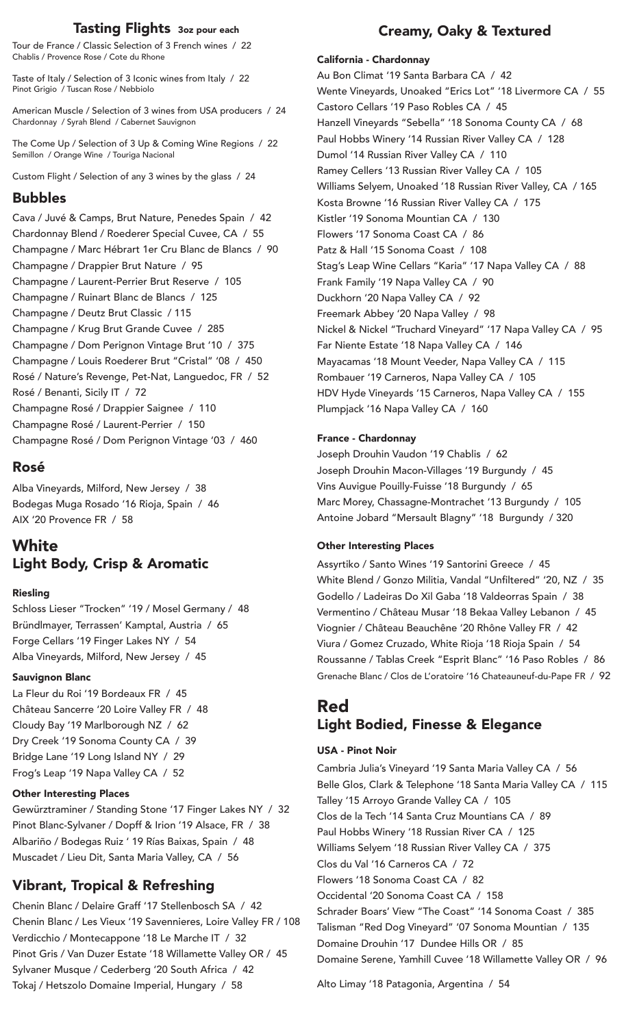### Tasting Flights 3oz pour each

Tour de France / Classic Selection of 3 French wines / 22 Chablis / Provence Rose / Cote du Rhone

Taste of Italy / Selection of 3 Iconic wines from Italy / 22 Pinot Grigio / Tuscan Rose / Nebbiolo

American Muscle / Selection of 3 wines from USA producers / 24 Chardonnay / Syrah Blend / Cabernet Sauvignon

The Come Up / Selection of 3 Up & Coming Wine Regions / 22 Semillon / Orange Wine / Touriga Nacional

Custom Flight / Selection of any 3 wines by the glass / 24

### Bubbles

Cava / Juvé & Camps, Brut Nature, Penedes Spain / 42 Chardonnay Blend / Roederer Special Cuvee, CA / 55 Champagne / Marc Hébrart 1er Cru Blanc de Blancs / 90 Champagne / Drappier Brut Nature / 95 Champagne / Laurent-Perrier Brut Reserve / 105 Champagne / Ruinart Blanc de Blancs / 125 Champagne / Deutz Brut Classic / 115 Champagne / Krug Brut Grande Cuvee / 285 Champagne / Dom Perignon Vintage Brut '10 / 375 Champagne / Louis Roederer Brut "Cristal" '08 / 450 Rosé / Nature's Revenge, Pet-Nat, Languedoc, FR / 52 Rosé / Benanti, Sicily IT / 72 Champagne Rosé / Drappier Saignee / 110 Champagne Rosé / Laurent-Perrier / 150 Champagne Rosé / Dom Perignon Vintage '03 / 460

## Rosé

Alba Vineyards, Milford, New Jersey / 38 Bodegas Muga Rosado '16 Rioja, Spain / 46 AIX '20 Provence FR / 58

# **White** Light Body, Crisp & Aromatic

### Riesling

Schloss Lieser "Trocken" '19 / Mosel Germany / 48 Bründlmayer, Terrassen' Kamptal, Austria / 65 Forge Cellars '19 Finger Lakes NY / 54 Alba Vineyards, Milford, New Jersey / 45

### Sauvignon Blanc

La Fleur du Roi '19 Bordeaux FR / 45 Château Sancerre '20 Loire Valley FR / 48 Cloudy Bay '19 Marlborough NZ / 62 Dry Creek '19 Sonoma County CA / 39 Bridge Lane '19 Long Island NY / 29 Frog's Leap '19 Napa Valley CA / 52

### Other Interesting Places

Gewürztraminer / Standing Stone '17 Finger Lakes NY / 32 Pinot Blanc-Sylvaner / Dopff & Irion '19 Alsace, FR / 38 Albariño / Bodegas Ruiz ' 19 Rías Baixas, Spain / 48 Muscadet / Lieu Dit, Santa Maria Valley, CA / 56

# Vibrant, Tropical & Refreshing

Chenin Blanc / Delaire Graff '17 Stellenbosch SA / 42 Chenin Blanc / Les Vieux '19 Savennieres, Loire Valley FR / 108 Verdicchio / Montecappone '18 Le Marche IT / 32 Pinot Gris / Van Duzer Estate '18 Willamette Valley OR / 45 Sylvaner Musque / Cederberg '20 South Africa / 42 Tokaj / Hetszolo Domaine Imperial, Hungary / 58

## Creamy, Oaky & Textured

### California - Chardonnay

Au Bon Climat '19 Santa Barbara CA / 42 Wente Vineyards, Unoaked "Erics Lot" '18 Livermore CA / 55 Castoro Cellars '19 Paso Robles CA / 45 Hanzell Vineyards "Sebella" '18 Sonoma County CA / 68 Paul Hobbs Winery '14 Russian River Valley CA / 128 Dumol '14 Russian River Valley CA / 110 Ramey Cellers '13 Russian River Valley CA / 105 Williams Selyem, Unoaked '18 Russian River Valley, CA / 165 Kosta Browne '16 Russian River Valley CA / 175 Kistler '19 Sonoma Mountian CA / 130 Flowers '17 Sonoma Coast CA / 86 Patz & Hall '15 Sonoma Coast / 108 Stag's Leap Wine Cellars "Karia" '17 Napa Valley CA / 88 Frank Family '19 Napa Valley CA / 90 Duckhorn '20 Napa Valley CA / 92 Freemark Abbey '20 Napa Valley / 98 Nickel & Nickel "Truchard Vineyard" '17 Napa Valley CA / 95 Far Niente Estate '18 Napa Valley CA / 146 Mayacamas '18 Mount Veeder, Napa Valley CA / 115 Rombauer '19 Carneros, Napa Valley CA / 105 HDV Hyde Vineyards '15 Carneros, Napa Valley CA / 155 Plumpjack '16 Napa Valley CA / 160

### France - Chardonnay

Joseph Drouhin Vaudon '19 Chablis / 62 Joseph Drouhin Macon-Villages '19 Burgundy / 45 Vins Auvigue Pouilly-Fuisse '18 Burgundy / 65 Marc Morey, Chassagne-Montrachet '13 Burgundy / 105 Antoine Jobard "Mersault Blagny" '18 Burgundy / 320

### Other Interesting Places

Assyrtiko / Santo Wines '19 Santorini Greece / 45 White Blend / Gonzo Militia, Vandal "Unfiltered" '20, NZ / 35 Godello / Ladeiras Do Xil Gaba '18 Valdeorras Spain / 38 Vermentino / Château Musar '18 Bekaa Valley Lebanon / 45 Viognier / Château Beauchêne '20 Rhône Valley FR / 42 Viura / Gomez Cruzado, White Rioja '18 Rioja Spain / 54 Roussanne / Tablas Creek "Esprit Blanc" '16 Paso Robles / 86 Grenache Blanc / Clos de L'oratoire '16 Chateauneuf-du-Pape FR / 92

# Red Light Bodied, Finesse & Elegance

### USA - Pinot Noir

Cambria Julia's Vineyard '19 Santa Maria Valley CA / 56 Belle Glos, Clark & Telephone '18 Santa Maria Valley CA / 115 Talley '15 Arroyo Grande Valley CA / 105 Clos de la Tech '14 Santa Cruz Mountians CA / 89 Paul Hobbs Winery '18 Russian River CA / 125 Williams Selyem '18 Russian River Valley CA / 375 Clos du Val '16 Carneros CA / 72 Flowers '18 Sonoma Coast CA / 82 Occidental '20 Sonoma Coast CA / 158 Schrader Boars' View "The Coast" '14 Sonoma Coast / 385 Talisman "Red Dog Vineyard" '07 Sonoma Mountian / 135 Domaine Drouhin '17 Dundee Hills OR / 85 Domaine Serene, Yamhill Cuvee '18 Willamette Valley OR / 96

Alto Limay '18 Patagonia, Argentina / 54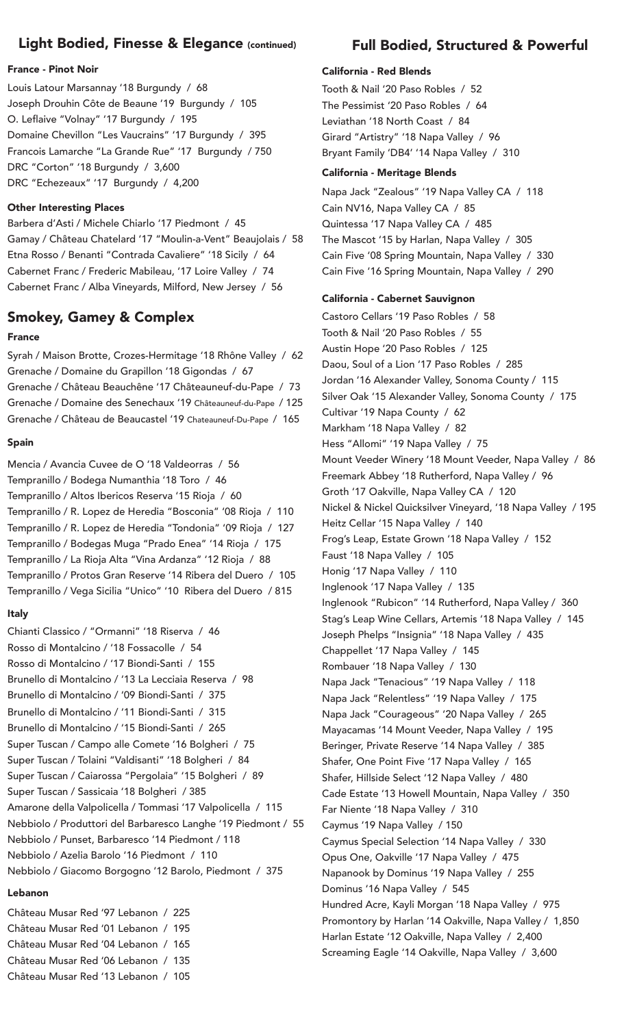### Light Bodied, Finesse & Elegance (continued)

#### France - Pinot Noir

Louis Latour Marsannay '18 Burgundy / 68 Joseph Drouhin Côte de Beaune '19 Burgundy / 105 O. Leflaive "Volnay" '17 Burgundy / 195 Domaine Chevillon "Les Vaucrains" '17 Burgundy / 395 Francois Lamarche "La Grande Rue" '17 Burgundy / 750 DRC "Corton" '18 Burgundy / 3,600 DRC "Echezeaux" '17 Burgundy / 4,200

#### Other Interesting Places

Barbera d'Asti / Michele Chiarlo '17 Piedmont / 45 Gamay / Château Chatelard '17 "Moulin-a-Vent" Beaujolais / 58 Etna Rosso / Benanti "Contrada Cavaliere" '18 Sicily / 64 Cabernet Franc / Frederic Mabileau, '17 Loire Valley / 74 Cabernet Franc / Alba Vineyards, Milford, New Jersey / 56

### Smokey, Gamey & Complex

#### France

Syrah / Maison Brotte, Crozes-Hermitage '18 Rhône Valley / 62 Grenache / Domaine du Grapillon '18 Gigondas / 67 Grenache / Château Beauchêne '17 Châteauneuf-du-Pape / 73 Grenache / Domaine des Senechaux '19 Châteauneuf-du-Pape / 125 Grenache / Château de Beaucastel '19 Chateauneuf-Du-Pape / 165

#### Spain

Mencia / Avancia Cuvee de O '18 Valdeorras / 56 Tempranillo / Bodega Numanthia '18 Toro / 46 Tempranillo / Altos Ibericos Reserva '15 Rioja / 60 Tempranillo / R. Lopez de Heredia "Bosconia" '08 Rioja / 110 Tempranillo / R. Lopez de Heredia "Tondonia" '09 Rioja / 127 Tempranillo / Bodegas Muga "Prado Enea" '14 Rioja / 175 Tempranillo / La Rioja Alta "Vina Ardanza" '12 Rioja / 88 Tempranillo / Protos Gran Reserve '14 Ribera del Duero / 105 Tempranillo / Vega Sicilia "Unico" '10 Ribera del Duero / 815

#### Italy

Chianti Classico / "Ormanni" '18 Riserva / 46 Rosso di Montalcino / '18 Fossacolle / 54 Rosso di Montalcino / '17 Biondi-Santi / 155 Brunello di Montalcino / '13 La Lecciaia Reserva / 98 Brunello di Montalcino / '09 Biondi-Santi / 375 Brunello di Montalcino / '11 Biondi-Santi / 315 Brunello di Montalcino / '15 Biondi-Santi / 265 Super Tuscan / Campo alle Comete '16 Bolgheri / 75 Super Tuscan / Tolaini "Valdisanti" '18 Bolgheri / 84 Super Tuscan / Caiarossa "Pergolaia" '15 Bolgheri / 89 Super Tuscan / Sassicaia '18 Bolgheri / 385 Amarone della Valpolicella / Tommasi '17 Valpolicella / 115 Nebbiolo / Produttori del Barbaresco Langhe '19 Piedmont / 55 Nebbiolo / Punset, Barbaresco '14 Piedmont / 118 Nebbiolo / Azelia Barolo '16 Piedmont / 110 Nebbiolo / Giacomo Borgogno '12 Barolo, Piedmont / 375

### Lebanon

Château Musar Red '97 Lebanon / 225 Château Musar Red '01 Lebanon / 195 Château Musar Red '04 Lebanon / 165 Château Musar Red '06 Lebanon / 135 Château Musar Red '13 Lebanon / 105

### Full Bodied, Structured & Powerful

#### California - Red Blends

Tooth & Nail '20 Paso Robles / 52 The Pessimist '20 Paso Robles / 64 Leviathan '18 North Coast / 84 Girard "Artistry" '18 Napa Valley / 96 Bryant Family 'DB4' '14 Napa Valley / 310

### California - Meritage Blends

Napa Jack "Zealous" '19 Napa Valley CA / 118 Cain NV16, Napa Valley CA / 85 Quintessa '17 Napa Valley CA / 485 The Mascot '15 by Harlan, Napa Valley / 305 Cain Five '08 Spring Mountain, Napa Valley / 330 Cain Five '16 Spring Mountain, Napa Valley / 290

#### California - Cabernet Sauvignon

Castoro Cellars '19 Paso Robles / 58 Tooth & Nail '20 Paso Robles / 55 Austin Hope '20 Paso Robles / 125 Daou, Soul of a Lion '17 Paso Robles / 285 Jordan '16 Alexander Valley, Sonoma County / 115 Silver Oak '15 Alexander Valley, Sonoma County / 175 Cultivar '19 Napa County / 62 Markham '18 Napa Valley / 82 Hess "Allomi" '19 Napa Valley / 75 Mount Veeder Winery '18 Mount Veeder, Napa Valley / 86 Freemark Abbey '18 Rutherford, Napa Valley / 96 Groth '17 Oakville, Napa Valley CA / 120 Nickel & Nickel Quicksilver Vineyard, '18 Napa Valley / 195 Heitz Cellar '15 Napa Valley / 140 Frog's Leap, Estate Grown '18 Napa Valley / 152 Faust '18 Napa Valley / 105 Honig '17 Napa Valley / 110 Inglenook '17 Napa Valley / 135 Inglenook "Rubicon" '14 Rutherford, Napa Valley / 360 Stag's Leap Wine Cellars, Artemis '18 Napa Valley / 145 Joseph Phelps "Insignia" '18 Napa Valley / 435 Chappellet '17 Napa Valley / 145 Rombauer '18 Napa Valley / 130 Napa Jack "Tenacious" '19 Napa Valley / 118 Napa Jack "Relentless" '19 Napa Valley / 175 Napa Jack "Courageous" '20 Napa Valley / 265 Mayacamas '14 Mount Veeder, Napa Valley / 195 Beringer, Private Reserve '14 Napa Valley / 385 Shafer, One Point Five '17 Napa Valley / 165 Shafer, Hillside Select '12 Napa Valley / 480 Cade Estate '13 Howell Mountain, Napa Valley / 350 Far Niente '18 Napa Valley / 310 Caymus '19 Napa Valley / 150 Caymus Special Selection '14 Napa Valley / 330 Opus One, Oakville '17 Napa Valley / 475 Napanook by Dominus '19 Napa Valley / 255 Dominus '16 Napa Valley / 545 Hundred Acre, Kayli Morgan '18 Napa Valley / 975 Promontory by Harlan '14 Oakville, Napa Valley / 1,850 Harlan Estate '12 Oakville, Napa Valley / 2,400 Screaming Eagle '14 Oakville, Napa Valley / 3,600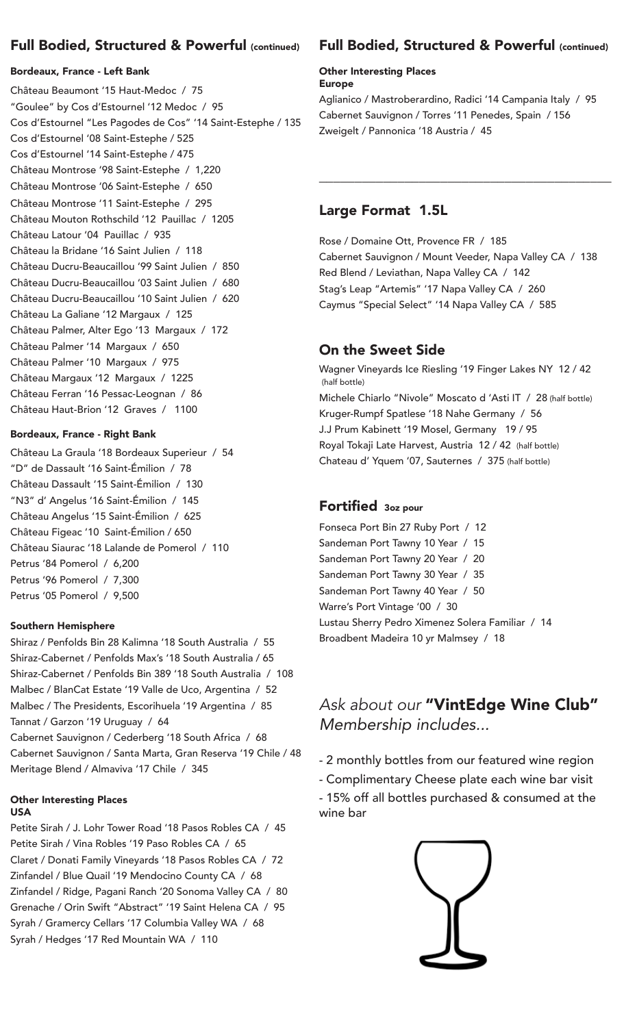# Full Bodied, Structured & Powerful (continued)

### Bordeaux, France - Left Bank

Château Beaumont '15 Haut-Medoc / 75 "Goulee" by Cos d'Estournel '12 Medoc / 95 Cos d'Estournel "Les Pagodes de Cos" '14 Saint-Estephe / 135 Cos d'Estournel '08 Saint-Estephe / 525 Cos d'Estournel '14 Saint-Estephe / 475 Château Montrose '98 Saint-Estephe / 1,220 Château Montrose '06 Saint-Estephe / 650 Château Montrose '11 Saint-Estephe / 295 Château Mouton Rothschild '12 Pauillac / 1205 Château Latour '04 Pauillac / 935 Château la Bridane '16 Saint Julien / 118 Château Ducru-Beaucaillou '99 Saint Julien / 850 Château Ducru-Beaucaillou '03 Saint Julien / 680 Château Ducru-Beaucaillou '10 Saint Julien / 620 Château La Galiane '12 Margaux / 125 Château Palmer, Alter Ego '13 Margaux / 172 Château Palmer '14 Margaux / 650 Château Palmer '10 Margaux / 975 Château Margaux '12 Margaux / 1225 Château Ferran '16 Pessac-Leognan / 86 Château Haut-Brion '12 Graves / 1100

### Bordeaux, France - Right Bank

Château La Graula '18 Bordeaux Superieur / 54 "D" de Dassault '16 Saint-Émilion / 78 Château Dassault '15 Saint-Émilion / 130 "N3" d' Angelus '16 Saint-Émilion / 145 Château Angelus '15 Saint-Émilion / 625 Château Figeac '10 Saint-Émilion / 650 Château Siaurac '18 Lalande de Pomerol / 110 Petrus '84 Pomerol / 6,200 Petrus '96 Pomerol / 7,300 Petrus '05 Pomerol / 9,500

### Southern Hemisphere

Shiraz / Penfolds Bin 28 Kalimna '18 South Australia / 55 Shiraz-Cabernet / Penfolds Max's '18 South Australia / 65 Shiraz-Cabernet / Penfolds Bin 389 '18 South Australia / 108 Malbec / BlanCat Estate '19 Valle de Uco, Argentina / 52 Malbec / The Presidents, Escorihuela '19 Argentina / 85 Tannat / Garzon '19 Uruguay / 64

Cabernet Sauvignon / Cederberg '18 South Africa / 68 Cabernet Sauvignon / Santa Marta, Gran Reserva '19 Chile / 48 Meritage Blend / Almaviva '17 Chile / 345

#### Other Interesting Places USA

Petite Sirah / J. Lohr Tower Road '18 Pasos Robles CA / 45 Petite Sirah / Vina Robles '19 Paso Robles CA / 65 Claret / Donati Family Vineyards '18 Pasos Robles CA / 72 Zinfandel / Blue Quail '19 Mendocino County CA / 68 Zinfandel / Ridge, Pagani Ranch '20 Sonoma Valley CA / 80 Grenache / Orin Swift "Abstract" '19 Saint Helena CA / 95 Syrah / Gramercy Cellars '17 Columbia Valley WA / 68 Syrah / Hedges '17 Red Mountain WA / 110

## Full Bodied, Structured & Powerful (continued)

#### Other Interesting Places Europe

Aglianico / Mastroberardino, Radici '14 Campania Italy / 95 Cabernet Sauvignon / Torres '11 Penedes, Spain / 156 Zweigelt / Pannonica '18 Austria / 45

\_\_\_\_\_\_\_\_\_\_\_\_\_\_\_\_\_\_\_\_\_\_\_\_\_\_\_\_\_\_\_\_\_\_\_\_\_\_\_\_\_

### Large Format 1.5L

Rose / Domaine Ott, Provence FR / 185 Cabernet Sauvignon / Mount Veeder, Napa Valley CA / 138 Red Blend / Leviathan, Napa Valley CA / 142 Stag's Leap "Artemis" '17 Napa Valley CA / 260 Caymus "Special Select" '14 Napa Valley CA / 585

# On the Sweet Side

Wagner Vineyards Ice Riesling '19 Finger Lakes NY 12 / 42 (half bottle) Michele Chiarlo "Nivole" Moscato d 'Asti IT / 28 (half bottle) Kruger-Rumpf Spatlese '18 Nahe Germany / 56 J.J Prum Kabinett '19 Mosel, Germany 19 / 95 Royal Tokaji Late Harvest, Austria 12 / 42 (half bottle) Chateau d' Yquem '07, Sauternes / 375 (half bottle)

### Fortified 3oz pour

Fonseca Port Bin 27 Ruby Port / 12 Sandeman Port Tawny 10 Year / 15 Sandeman Port Tawny 20 Year / 20 Sandeman Port Tawny 30 Year / 35 Sandeman Port Tawny 40 Year / 50 Warre's Port Vintage '00 / 30 Lustau Sherry Pedro Ximenez Solera Familiar / 14 Broadbent Madeira 10 yr Malmsey / 18

# *Ask about our* "VintEdge Wine Club" Membership includes...

- 2 monthly bottles from our featured wine region

- Complimentary Cheese plate each wine bar visit

- 15% off all bottles purchased & consumed at the wine bar